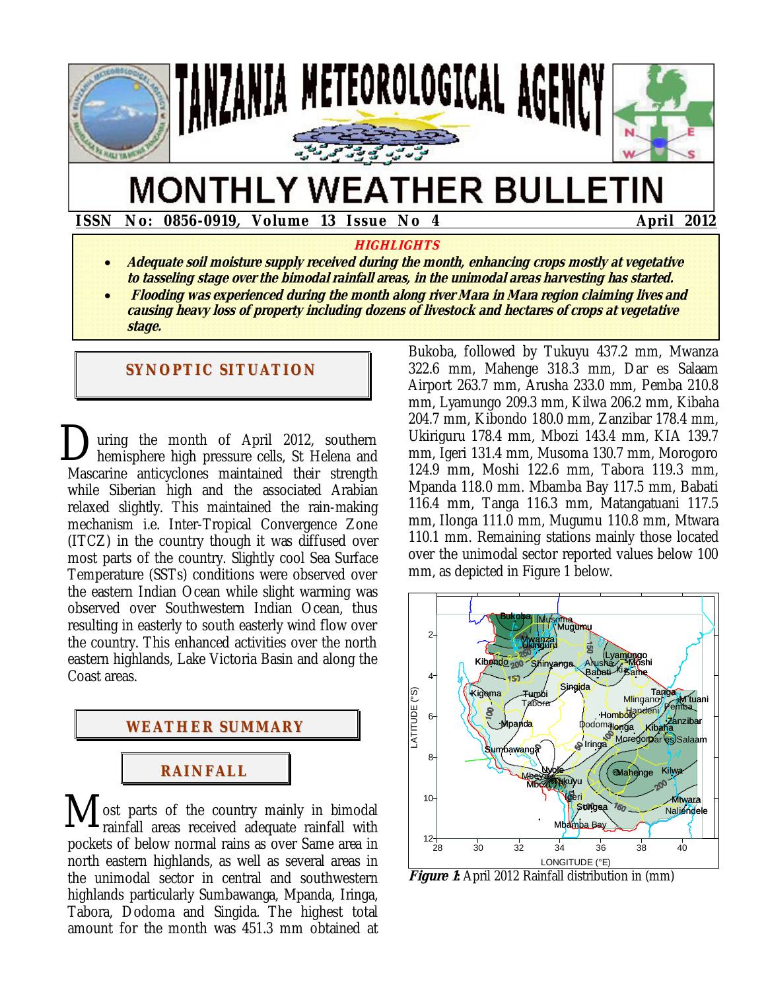

# **MONTHLY WEATHER BULLETIN**

 **ISSN No: 0856-0919, Volume 13 Issue No 4 April 2012** 

#### **HIGHLIGHTS**

- **Adequate soil moisture supply received during the month, enhancing crops mostly at vegetative to tasseling stage over the bimodal rainfall areas, in the unimodal areas harvesting has started.**
- **Flooding was experienced during the month along river Mara in Mara region claiming lives and causing heavy loss of property including dozens of livestock and hectares of crops at vegetative stage.**

#### **SYNOPTIC SITUATION**

uring the month of April 2012, southern hemisphere high pressure cells, St Helena and Mascarine anticyclones maintained their strength while Siberian high and the associated Arabian relaxed slightly. This maintained the rain-making mechanism i.e. Inter-Tropical Convergence Zone (ITCZ) in the country though it was diffused over most parts of the country. Slightly cool Sea Surface Temperature (SSTs) conditions were observed over the eastern Indian Ocean while slight warming was observed over Southwestern Indian Ocean, thus resulting in easterly to south easterly wind flow over the country. This enhanced activities over the north eastern highlands, Lake Victoria Basin and along the Coast areas. D



ost parts of the country mainly in bimodal rainfall areas received adequate rainfall with pockets of below normal rains as over Same area in north eastern highlands, as well as several areas in the unimodal sector in central and southwestern highlands particularly Sumbawanga, Mpanda, Iringa, Tabora, Dodoma and Singida. The highest total amount for the month was 451.3 mm obtained at M

Bukoba, followed by Tukuyu 437.2 mm, Mwanza 322.6 mm, Mahenge 318.3 mm, Dar es Salaam Airport 263.7 mm, Arusha 233.0 mm, Pemba 210.8 mm, Lyamungo 209.3 mm, Kilwa 206.2 mm, Kibaha 204.7 mm, Kibondo 180.0 mm, Zanzibar 178.4 mm, Ukiriguru 178.4 mm, Mbozi 143.4 mm, KIA 139.7 mm, Igeri 131.4 mm, Musoma 130.7 mm, Morogoro 124.9 mm, Moshi 122.6 mm, Tabora 119.3 mm, Mpanda 118.0 mm. Mbamba Bay 117.5 mm, Babati 116.4 mm, Tanga 116.3 mm, Matangatuani 117.5 mm, Ilonga 111.0 mm, Mugumu 110.8 mm, Mtwara 110.1 mm. Remaining stations mainly those located over the unimodal sector reported values below 100 mm, as depicted in Figure 1 below.



**Figure 1:** April 2012 Rainfall distribution in (mm)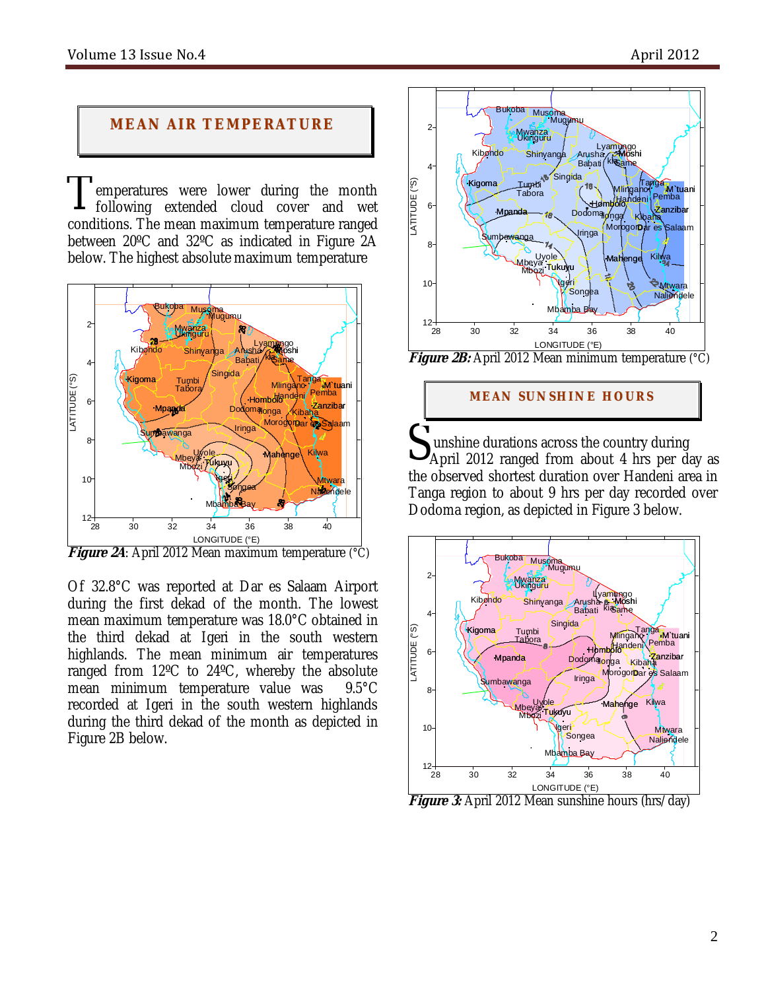## **MEAN AIR TEMPERATURE**

emperatures were lower during the month following extended cloud cover and wet conditions. The mean maximum temperature ranged between 20ºC and 32ºC as indicated in Figure 2A below. The highest absolute maximum temperature T



**Figure 2A**: April 2012 Mean maximum temperature (°C)

Of 32.8°C was reported at Dar es Salaam Airport during the first dekad of the month. The lowest mean maximum temperature was 18.0°C obtained in the third dekad at Igeri in the south western highlands. The mean minimum air temperatures ranged from 12ºC to 24ºC, whereby the absolute mean minimum temperature value was 9.5°C recorded at Igeri in the south western highlands during the third dekad of the month as depicted in Figure 2B below.



#### **MEAN SUNSHINE HOURS**

unshine durations across the country during Sunshine durations across the country during<br>April 2012 ranged from about 4 hrs per day as the observed shortest duration over Handeni area in Tanga region to about 9 hrs per day recorded over Dodoma region, as depicted in Figure 3 below.



Figure 3: April 2012 Mean sunshine hours (hrs/day)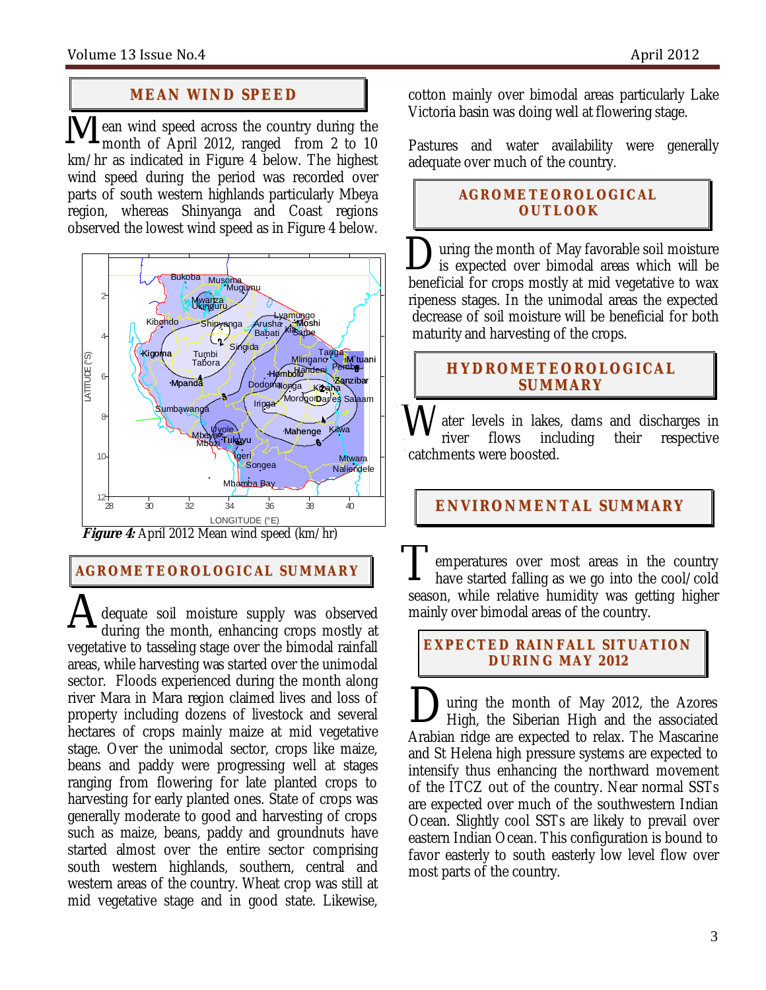## **MEAN WI ND SPEED**

ean wind speed across the country during the month of April 2012, ranged from 2 to 10 km/hr as indicated in Figure 4 below. The highest wind speed during the period was recorded over parts of south western highlands particularly Mbeya region, whereas Shinyanga and Coast regions observed the lowest wind speed as in Figure 4 below.  $\overline{\mathbf{M}}_{m}^{\text{ea}}$ 



**AGROME TEOROLOGICAL SUMMARY**

dequate soil moisture supply was observed during the month, enhancing crops mostly at vegetative to tasseling stage over the bimodal rainfall areas, while harvesting was started over the unimodal sector. Floods experienced during the month along river Mara in Mara region claimed lives and loss of property including dozens of livestock and several hectares of crops mainly maize at mid vegetative stage. Over the unimodal sector, crops like maize, beans and paddy were progressing well at stages ranging from flowering for late planted crops to harvesting for early planted ones. State of crops was generally moderate to good and harvesting of crops such as maize, beans, paddy and groundnuts have started almost over the entire sector comprising south western highlands, southern, central and western areas of the country. Wheat crop was still at mid vegetative stage and in good state. Likewise, A

cotton mainly over bimodal areas particularly Lake Victoria basin was doing well at flowering stage.

Pastures and water availability were generally adequate over much of the country*.* 

## **AGROME TEOROLOGICAL OUTLOOK**

uring the month of May favorable soil moisture is expected over bimodal areas which will be beneficial for crops mostly at mid vegetative to wax ripeness stages. In the unimodal areas the expected decrease of soil moisture will be beneficial for both maturity and harvesting of the crops. D

## **HYDROMETEOROLOGICAL SUMMARY**

ater levels in lakes, dams and discharges in river flows including their respective catchments were boosted. W

**ENVIRONMENTAL SUMMARY**

emperatures over most areas in the country have started falling as we go into the cool/cold season, while relative humidity was getting higher mainly over bimodal areas of the country. T

#### **EXPECTED RAINFALL SITUATION DURI NG MAY 2 012**

uring the month of May 2012, the Azores High, the Siberian High and the associated Arabian ridge are expected to relax. The Mascarine and St Helena high pressure systems are expected to intensify thus enhancing the northward movement of the ITCZ out of the country. Near normal SSTs are expected over much of the southwestern Indian Ocean. Slightly cool SSTs are likely to prevail over eastern Indian Ocean. This configuration is bound to favor easterly to south easterly low level flow over most parts of the country.  $\sum_{H}$